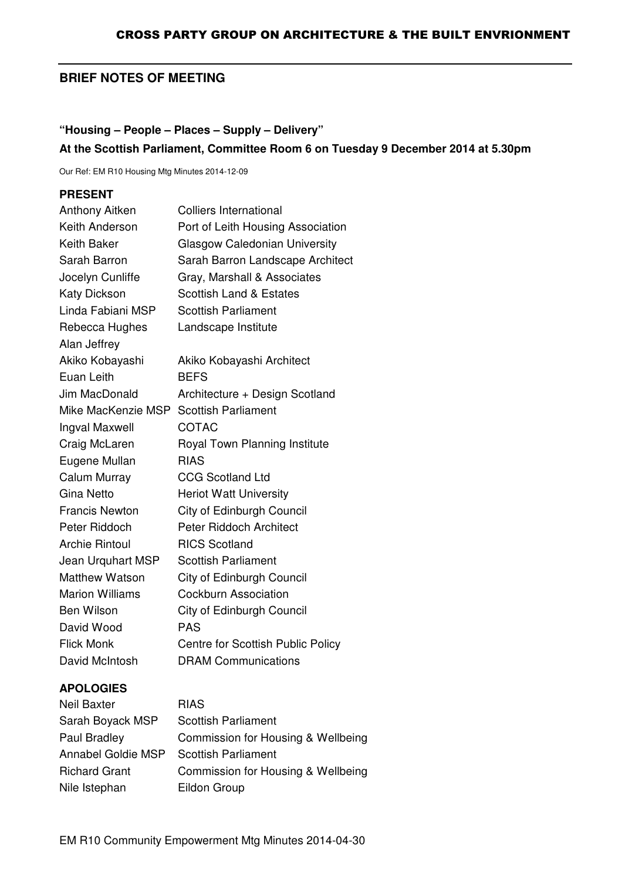# **BRIEF NOTES OF MEETING**

# **"Housing – People – Places – Supply – Delivery" At the Scottish Parliament, Committee Room 6 on Tuesday 9 December 2014 at 5.30pm**

Our Ref: EM R10 Housing Mtg Minutes 2014-12-09

### **PRESENT**

| <b>Anthony Aitken</b>  | <b>Colliers International</b>        |
|------------------------|--------------------------------------|
| Keith Anderson         | Port of Leith Housing Association    |
| Keith Baker            | <b>Glasgow Caledonian University</b> |
| Sarah Barron           | Sarah Barron Landscape Architect     |
| Jocelyn Cunliffe       | Gray, Marshall & Associates          |
| <b>Katy Dickson</b>    | <b>Scottish Land &amp; Estates</b>   |
| Linda Fabiani MSP      | <b>Scottish Parliament</b>           |
| Rebecca Hughes         | Landscape Institute                  |
| Alan Jeffrey           |                                      |
| Akiko Kobayashi        | Akiko Kobayashi Architect            |
| Euan Leith             | <b>BEFS</b>                          |
| Jim MacDonald          | Architecture + Design Scotland       |
| Mike MacKenzie MSP     | <b>Scottish Parliament</b>           |
| Ingval Maxwell         | <b>COTAC</b>                         |
| Craig McLaren          | Royal Town Planning Institute        |
| Eugene Mullan          | <b>RIAS</b>                          |
| Calum Murray           | <b>CCG Scotland Ltd</b>              |
| Gina Netto             | <b>Heriot Watt University</b>        |
| <b>Francis Newton</b>  | City of Edinburgh Council            |
| Peter Riddoch          | Peter Riddoch Architect              |
| <b>Archie Rintoul</b>  | <b>RICS Scotland</b>                 |
| Jean Urquhart MSP      | <b>Scottish Parliament</b>           |
| <b>Matthew Watson</b>  | City of Edinburgh Council            |
| <b>Marion Williams</b> | <b>Cockburn Association</b>          |
| Ben Wilson             | City of Edinburgh Council            |
| David Wood             | <b>PAS</b>                           |
| <b>Flick Monk</b>      | Centre for Scottish Public Policy    |
| David McIntosh         | <b>DRAM Communications</b>           |

### **APOLOGIES**

| <b>Neil Baxter</b>   | <b>RIAS</b>                        |
|----------------------|------------------------------------|
| Sarah Boyack MSP     | <b>Scottish Parliament</b>         |
| Paul Bradley         | Commission for Housing & Wellbeing |
| Annabel Goldie MSP   | <b>Scottish Parliament</b>         |
| <b>Richard Grant</b> | Commission for Housing & Wellbeing |
| Nile Istephan        | Eildon Group                       |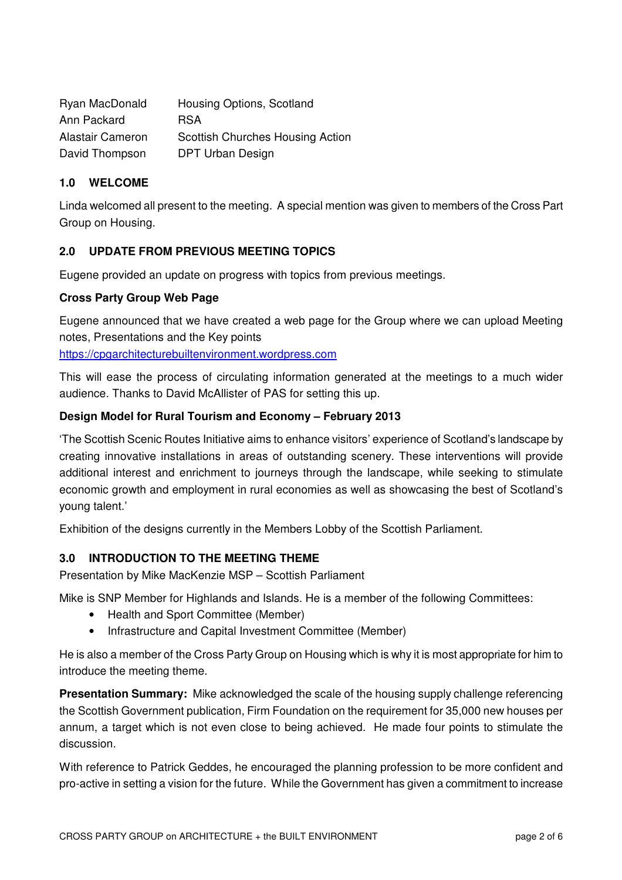| Ryan MacDonald          | Housing Options, Scotland               |
|-------------------------|-----------------------------------------|
| Ann Packard             | <b>RSA</b>                              |
| <b>Alastair Cameron</b> | <b>Scottish Churches Housing Action</b> |
| David Thompson          | DPT Urban Design                        |

### **1.0 WELCOME**

Linda welcomed all present to the meeting. A special mention was given to members of the Cross Part Group on Housing.

### **2.0 UPDATE FROM PREVIOUS MEETING TOPICS**

Eugene provided an update on progress with topics from previous meetings.

### **Cross Party Group Web Page**

Eugene announced that we have created a web page for the Group where we can upload Meeting notes, Presentations and the Key points

https://cpgarchitecturebuiltenvironment.wordpress.com

This will ease the process of circulating information generated at the meetings to a much wider audience. Thanks to David McAllister of PAS for setting this up.

### **Design Model for Rural Tourism and Economy – February 2013**

'The Scottish Scenic Routes Initiative aims to enhance visitors' experience of Scotland's landscape by creating innovative installations in areas of outstanding scenery. These interventions will provide additional interest and enrichment to journeys through the landscape, while seeking to stimulate economic growth and employment in rural economies as well as showcasing the best of Scotland's young talent.'

Exhibition of the designs currently in the Members Lobby of the Scottish Parliament.

## **3.0 INTRODUCTION TO THE MEETING THEME**

Presentation by Mike MacKenzie MSP – Scottish Parliament

Mike is SNP Member for Highlands and Islands. He is a member of the following Committees:

- Health and Sport Committee (Member)
- Infrastructure and Capital Investment Committee (Member)

He is also a member of the Cross Party Group on Housing which is why it is most appropriate for him to introduce the meeting theme.

**Presentation Summary:** Mike acknowledged the scale of the housing supply challenge referencing the Scottish Government publication, Firm Foundation on the requirement for 35,000 new houses per annum, a target which is not even close to being achieved. He made four points to stimulate the discussion.

With reference to Patrick Geddes, he encouraged the planning profession to be more confident and pro-active in setting a vision for the future. While the Government has given a commitment to increase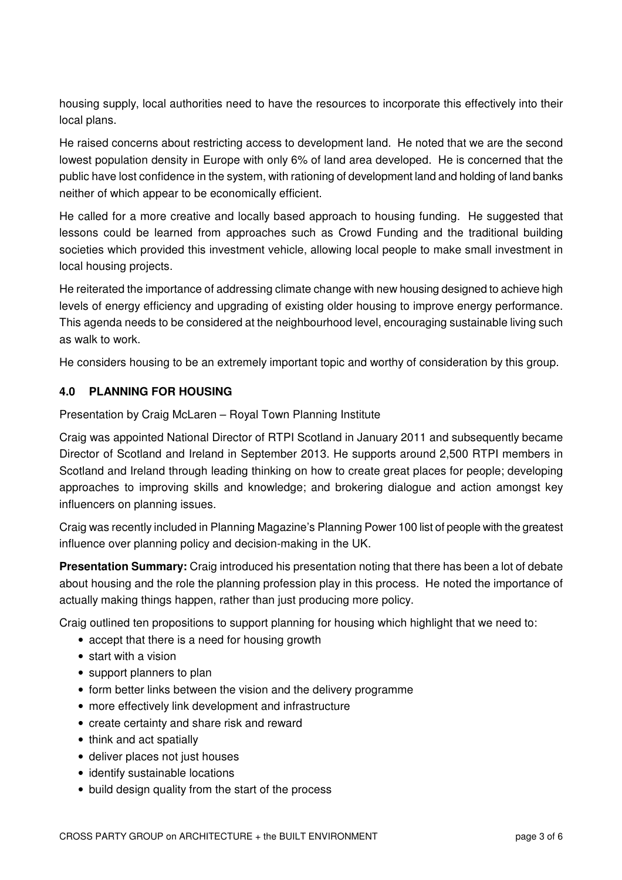housing supply, local authorities need to have the resources to incorporate this effectively into their local plans.

He raised concerns about restricting access to development land. He noted that we are the second lowest population density in Europe with only 6% of land area developed. He is concerned that the public have lost confidence in the system, with rationing of development land and holding of land banks neither of which appear to be economically efficient.

He called for a more creative and locally based approach to housing funding. He suggested that lessons could be learned from approaches such as Crowd Funding and the traditional building societies which provided this investment vehicle, allowing local people to make small investment in local housing projects.

He reiterated the importance of addressing climate change with new housing designed to achieve high levels of energy efficiency and upgrading of existing older housing to improve energy performance. This agenda needs to be considered at the neighbourhood level, encouraging sustainable living such as walk to work.

He considers housing to be an extremely important topic and worthy of consideration by this group.

## **4.0 PLANNING FOR HOUSING**

Presentation by Craig McLaren – Royal Town Planning Institute

Craig was appointed National Director of RTPI Scotland in January 2011 and subsequently became Director of Scotland and Ireland in September 2013. He supports around 2,500 RTPI members in Scotland and Ireland through leading thinking on how to create great places for people; developing approaches to improving skills and knowledge; and brokering dialogue and action amongst key influencers on planning issues.

Craig was recently included in Planning Magazine's Planning Power 100 list of people with the greatest influence over planning policy and decision-making in the UK.

**Presentation Summary:** Craig introduced his presentation noting that there has been a lot of debate about housing and the role the planning profession play in this process. He noted the importance of actually making things happen, rather than just producing more policy.

Craig outlined ten propositions to support planning for housing which highlight that we need to:

- accept that there is a need for housing growth
- start with a vision
- support planners to plan
- form better links between the vision and the delivery programme
- more effectively link development and infrastructure
- create certainty and share risk and reward
- think and act spatially
- deliver places not just houses
- identify sustainable locations
- build design quality from the start of the process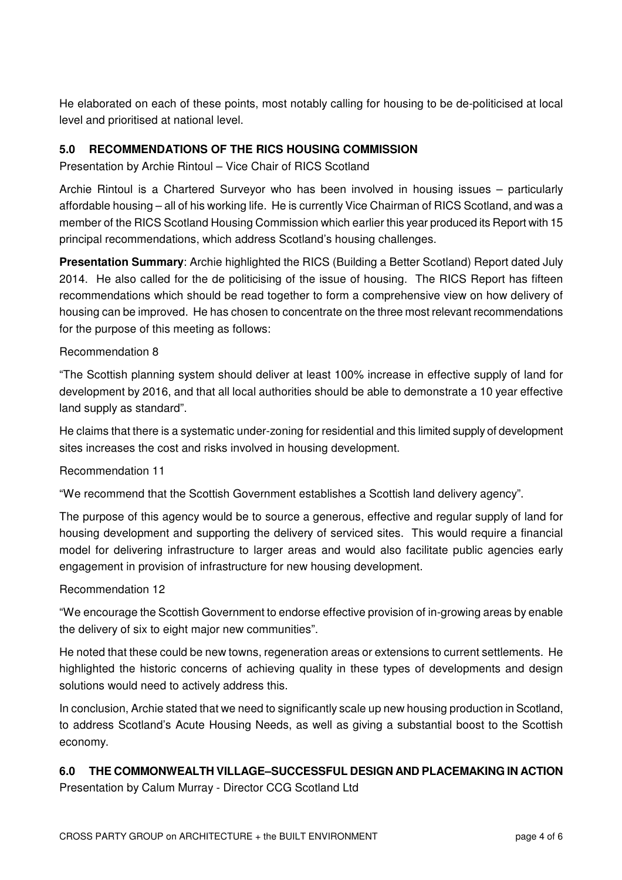He elaborated on each of these points, most notably calling for housing to be de-politicised at local level and prioritised at national level.

## **5.0 RECOMMENDATIONS OF THE RICS HOUSING COMMISSION**

Presentation by Archie Rintoul – Vice Chair of RICS Scotland

Archie Rintoul is a Chartered Surveyor who has been involved in housing issues – particularly affordable housing – all of his working life. He is currently Vice Chairman of RICS Scotland, and was a member of the RICS Scotland Housing Commission which earlier this year produced its Report with 15 principal recommendations, which address Scotland's housing challenges.

**Presentation Summary**: Archie highlighted the RICS (Building a Better Scotland) Report dated July 2014. He also called for the de politicising of the issue of housing. The RICS Report has fifteen recommendations which should be read together to form a comprehensive view on how delivery of housing can be improved. He has chosen to concentrate on the three most relevant recommendations for the purpose of this meeting as follows:

### Recommendation 8

"The Scottish planning system should deliver at least 100% increase in effective supply of land for development by 2016, and that all local authorities should be able to demonstrate a 10 year effective land supply as standard".

He claims that there is a systematic under-zoning for residential and this limited supply of development sites increases the cost and risks involved in housing development.

### Recommendation 11

"We recommend that the Scottish Government establishes a Scottish land delivery agency".

The purpose of this agency would be to source a generous, effective and regular supply of land for housing development and supporting the delivery of serviced sites. This would require a financial model for delivering infrastructure to larger areas and would also facilitate public agencies early engagement in provision of infrastructure for new housing development.

### Recommendation 12

"We encourage the Scottish Government to endorse effective provision of in-growing areas by enable the delivery of six to eight major new communities".

He noted that these could be new towns, regeneration areas or extensions to current settlements. He highlighted the historic concerns of achieving quality in these types of developments and design solutions would need to actively address this.

In conclusion, Archie stated that we need to significantly scale up new housing production in Scotland, to address Scotland's Acute Housing Needs, as well as giving a substantial boost to the Scottish economy.

## **6.0 THE COMMONWEALTH VILLAGE–SUCCESSFUL DESIGN AND PLACEMAKING IN ACTION**

Presentation by Calum Murray - Director CCG Scotland Ltd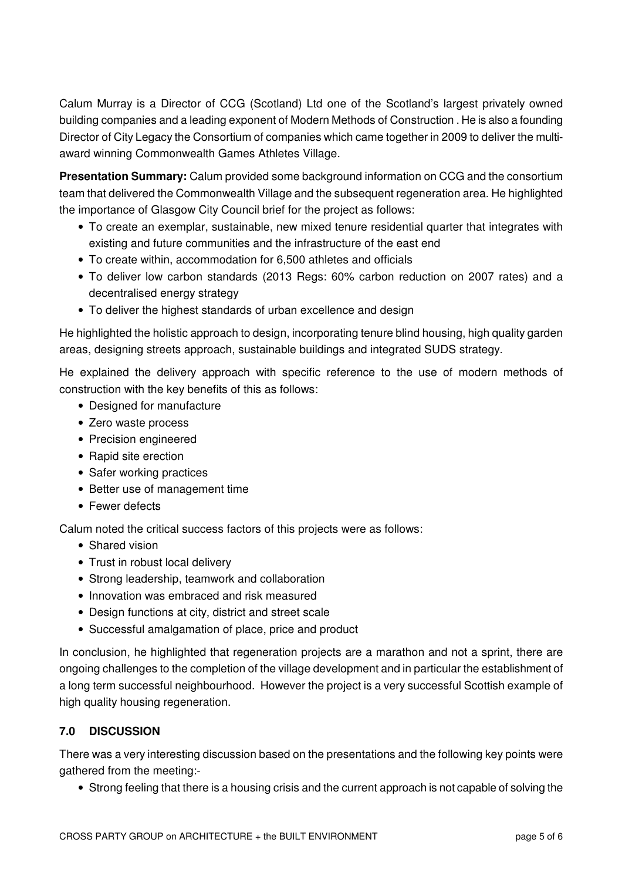Calum Murray is a Director of CCG (Scotland) Ltd one of the Scotland's largest privately owned building companies and a leading exponent of Modern Methods of Construction . He is also a founding Director of City Legacy the Consortium of companies which came together in 2009 to deliver the multiaward winning Commonwealth Games Athletes Village.

**Presentation Summary:** Calum provided some background information on CCG and the consortium team that delivered the Commonwealth Village and the subsequent regeneration area. He highlighted the importance of Glasgow City Council brief for the project as follows:

- To create an exemplar, sustainable, new mixed tenure residential quarter that integrates with existing and future communities and the infrastructure of the east end
- To create within, accommodation for 6,500 athletes and officials
- To deliver low carbon standards (2013 Regs: 60% carbon reduction on 2007 rates) and a decentralised energy strategy
- To deliver the highest standards of urban excellence and design

He highlighted the holistic approach to design, incorporating tenure blind housing, high quality garden areas, designing streets approach, sustainable buildings and integrated SUDS strategy.

He explained the delivery approach with specific reference to the use of modern methods of construction with the key benefits of this as follows:

- Designed for manufacture
- Zero waste process
- Precision engineered
- Rapid site erection
- Safer working practices
- Better use of management time
- Fewer defects

Calum noted the critical success factors of this projects were as follows:

- Shared vision
- Trust in robust local delivery
- Strong leadership, teamwork and collaboration
- Innovation was embraced and risk measured
- Design functions at city, district and street scale
- Successful amalgamation of place, price and product

In conclusion, he highlighted that regeneration projects are a marathon and not a sprint, there are ongoing challenges to the completion of the village development and in particular the establishment of a long term successful neighbourhood. However the project is a very successful Scottish example of high quality housing regeneration.

## **7.0 DISCUSSION**

There was a very interesting discussion based on the presentations and the following key points were gathered from the meeting:-

• Strong feeling that there is a housing crisis and the current approach is not capable of solving the